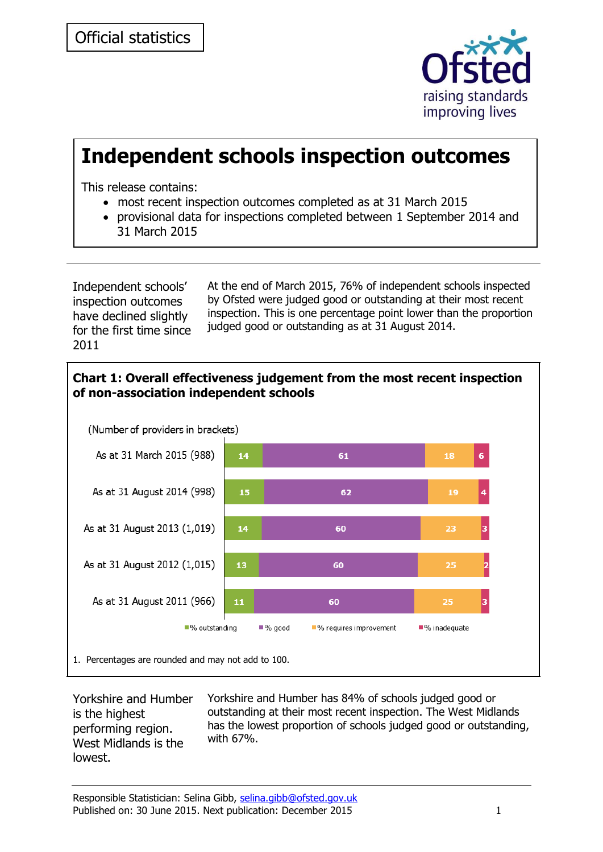

# **Independent schools inspection outcomes**

This release contains:

- most recent inspection outcomes completed as at 31 March 2015
- provisional data for inspections completed between 1 September 2014 and 31 March 2015

Independent schools' inspection outcomes have declined slightly for the first time since 2011

At the end of March 2015, 76% of independent schools inspected by Ofsted were judged good or outstanding at their most recent inspection. This is one percentage point lower than the proportion judged good or outstanding as at 31 August 2014.



Yorkshire and Humber is the highest performing region. West Midlands is the lowest.

Yorkshire and Humber has 84% of schools judged good or outstanding at their most recent inspection. The West Midlands has the lowest proportion of schools judged good or outstanding, with 67%.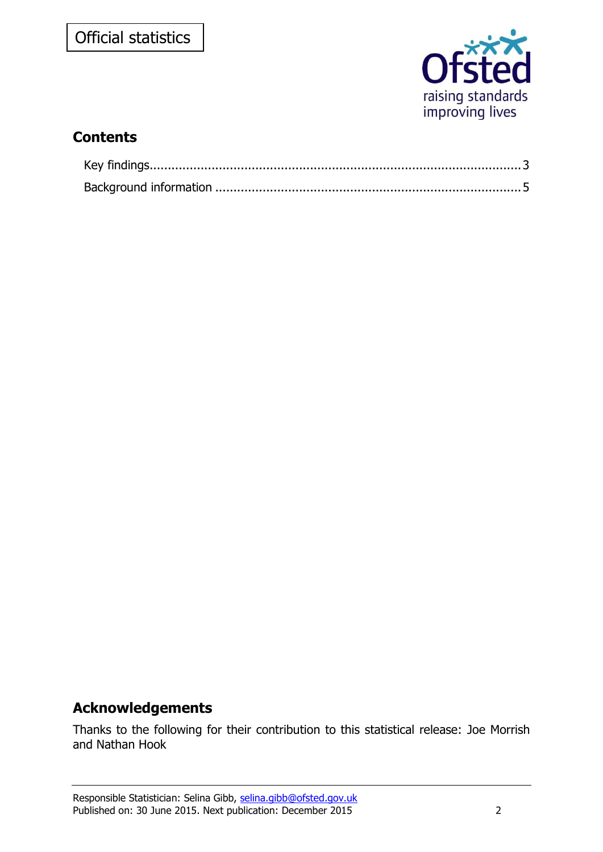

# **Contents**

# **Acknowledgements**

Thanks to the following for their contribution to this statistical release: Joe Morrish and Nathan Hook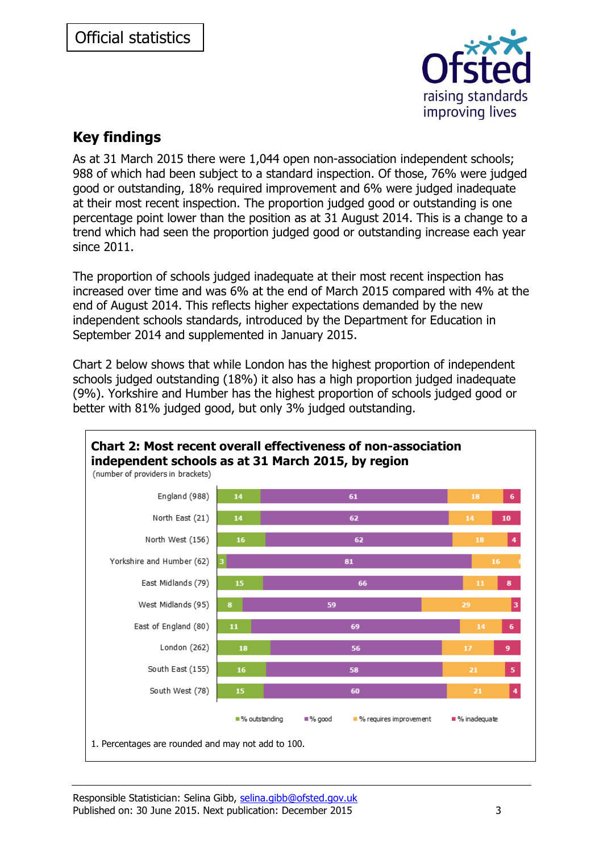

# <span id="page-2-0"></span>**Key findings**

As at 31 March 2015 there were 1,044 open non-association independent schools; 988 of which had been subject to a standard inspection. Of those, 76% were judged good or outstanding, 18% required improvement and 6% were judged inadequate at their most recent inspection. The proportion judged good or outstanding is one percentage point lower than the position as at 31 August 2014. This is a change to a trend which had seen the proportion judged good or outstanding increase each year since 2011.

The proportion of schools judged inadequate at their most recent inspection has increased over time and was 6% at the end of March 2015 compared with 4% at the end of August 2014. This reflects higher expectations demanded by the new independent schools standards, introduced by the Department for Education in September 2014 and supplemented in January 2015.

Chart 2 below shows that while London has the highest proportion of independent schools judged outstanding (18%) it also has a high proportion judged inadequate (9%). Yorkshire and Humber has the highest proportion of schools judged good or better with 81% judged good, but only 3% judged outstanding.

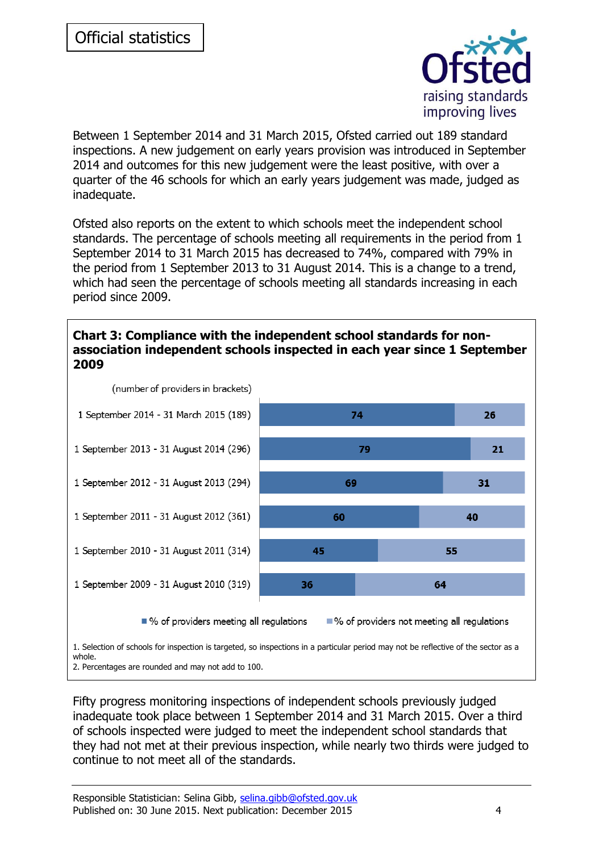

Between 1 September 2014 and 31 March 2015, Ofsted carried out 189 standard inspections. A new judgement on early years provision was introduced in September 2014 and outcomes for this new judgement were the least positive, with over a quarter of the 46 schools for which an early years judgement was made, judged as inadequate.

Ofsted also reports on the extent to which schools meet the independent school standards. The percentage of schools meeting all requirements in the period from 1 September 2014 to 31 March 2015 has decreased to 74%, compared with 79% in the period from 1 September 2013 to 31 August 2014. This is a change to a trend, which had seen the percentage of schools meeting all standards increasing in each period since 2009.

#### **Chart 3: Compliance with the independent school standards for nonassociation independent schools inspected in each year since 1 September 2009**



Fifty progress monitoring inspections of independent schools previously judged inadequate took place between 1 September 2014 and 31 March 2015. Over a third of schools inspected were judged to meet the independent school standards that they had not met at their previous inspection, while nearly two thirds were judged to continue to not meet all of the standards.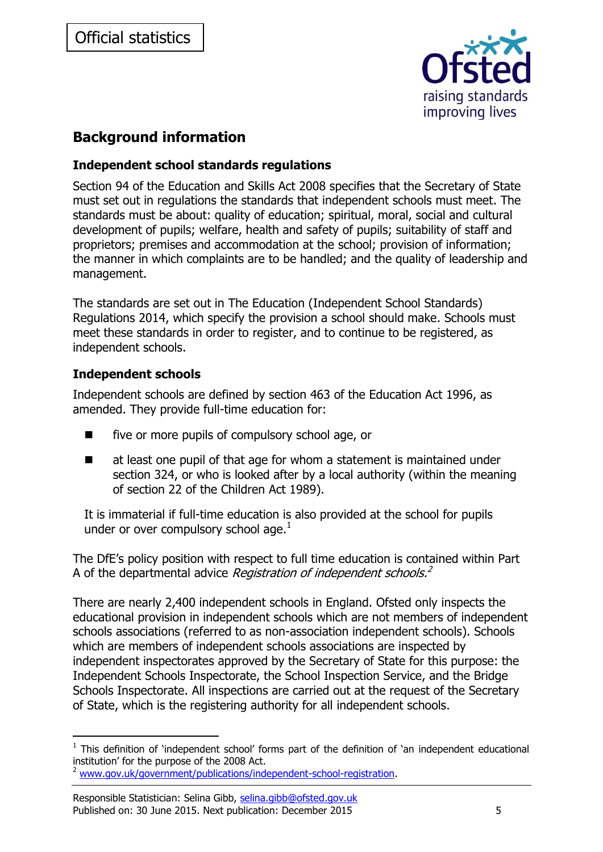

# <span id="page-4-0"></span>**Background information**

## **Independent school standards regulations**

Section 94 of the Education and Skills Act 2008 specifies that the Secretary of State must set out in regulations the standards that independent schools must meet. The standards must be about: quality of education; spiritual, moral, social and cultural development of pupils; welfare, health and safety of pupils; suitability of staff and proprietors; premises and accommodation at the school; provision of information; the manner in which complaints are to be handled; and the quality of leadership and management.

The standards are set out in The Education (Independent School Standards) Regulations 2014, which specify the provision a school should make. Schools must meet these standards in order to register, and to continue to be registered, as independent schools.

## **Independent schools**

Independent schools are defined by section 463 of the Education Act 1996, as amended. They provide full-time education for:

- five or more pupils of compulsory school age, or
- at least one pupil of that age for whom a statement is maintained under section 324, or who is looked after by a local authority (within the meaning of [section 22](https://www.lexisnexis.com/uk/legal/search/runRemoteLink.do?langcountry=GB&linkInfo=F%23GB%23UK_ACTS%23section%2522%25sect%2522%25num%251989_41a%25&risb=21_T12767422857&bct=A&service=citation&A=0.1948825141243744) of the Children Act 1989).

It is immaterial if full-time education is also provided at the school for pupils under or over compulsory school age. $<sup>1</sup>$ </sup>

The DfE's policy position with respect to full time education is contained within Part A of the departmental advice *Registration of independent schools.<sup>2</sup>* 

There are nearly 2,400 independent schools in England. Ofsted only inspects the educational provision in independent schools which are not members of independent schools associations (referred to as non-association independent schools). Schools which are members of independent schools associations are inspected by independent inspectorates approved by the Secretary of State for this purpose: the Independent Schools Inspectorate, the School Inspection Service, and the Bridge Schools Inspectorate. All inspections are carried out at the request of the Secretary of State, which is the registering authority for all independent schools.

<sup>-</sup> $1$  This definition of 'independent school' forms part of the definition of 'an independent educational institution' for the purpose of the 2008 Act.

<sup>&</sup>lt;sup>2</sup> [www.gov.uk/government/publications/independent-school-registration.](http://www.gov.uk/government/publications/independent-school-registration)

Responsible Statistician: Selina Gibb, [selina.gibb@ofsted.gov.uk](mailto:selina.gibb@ofsted.gov.uk) Published on: 30 June 2015. Next publication: December 2015 5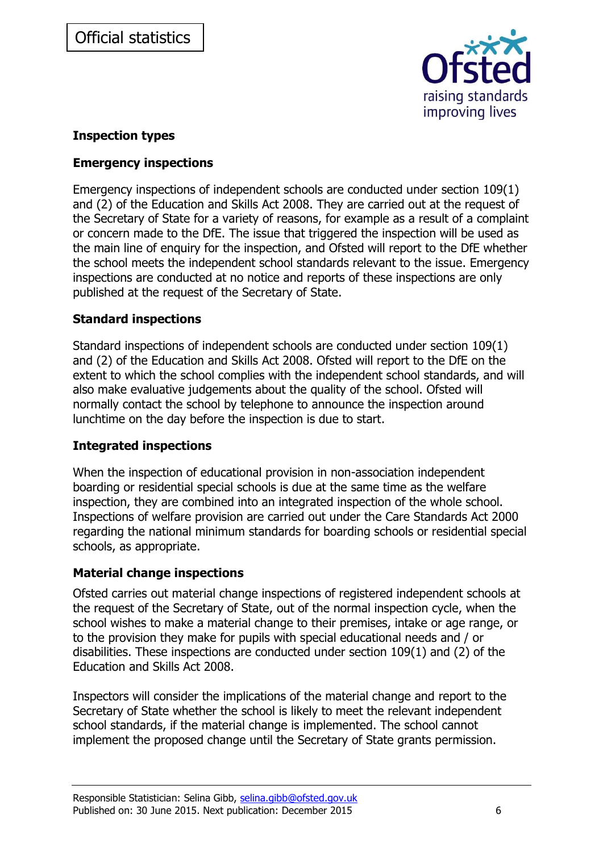

# **Inspection types**

# **Emergency inspections**

Emergency inspections of independent schools are conducted under section 109(1) and (2) of the Education and Skills Act 2008. They are carried out at the request of the Secretary of State for a variety of reasons, for example as a result of a complaint or concern made to the DfE. The issue that triggered the inspection will be used as the main line of enquiry for the inspection, and Ofsted will report to the DfE whether the school meets the independent school standards relevant to the issue. Emergency inspections are conducted at no notice and reports of these inspections are only published at the request of the Secretary of State.

# **Standard inspections**

Standard inspections of independent schools are conducted under section 109(1) and (2) of the Education and Skills Act 2008. Ofsted will report to the DfE on the extent to which the school complies with the independent school standards, and will also make evaluative judgements about the quality of the school. Ofsted will normally contact the school by telephone to announce the inspection around lunchtime on the day before the inspection is due to start.

## **Integrated inspections**

When the inspection of educational provision in non-association independent boarding or residential special schools is due at the same time as the welfare inspection, they are combined into an integrated inspection of the whole school. Inspections of welfare provision are carried out under the Care Standards Act 2000 regarding the national minimum standards for boarding schools or residential special schools, as appropriate.

## **Material change inspections**

Ofsted carries out material change inspections of registered independent schools at the request of the Secretary of State, out of the normal inspection cycle, when the school wishes to make a material change to their premises, intake or age range, or to the provision they make for pupils with special educational needs and / or disabilities. These inspections are conducted under section 109(1) and (2) of the Education and Skills Act 2008.

Inspectors will consider the implications of the material change and report to the Secretary of State whether the school is likely to meet the relevant independent school standards, if the material change is implemented. The school cannot implement the proposed change until the Secretary of State grants permission.